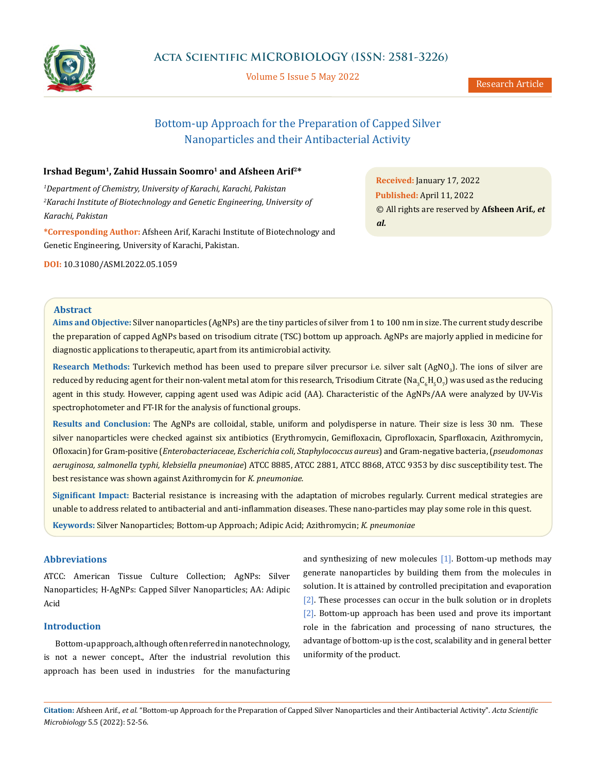

Volume 5 Issue 5 May 2022

Research Article

# Bottom-up Approach for the Preparation of Capped Silver Nanoparticles and their Antibacterial Activity

# Irshad Begum<sup>1</sup>, Zahid Hussain Soomro<sup>1</sup> and Afsheen Arif<sup>2\*</sup>

*1 Department of Chemistry, University of Karachi, Karachi, Pakistan 2 Karachi Institute of Biotechnology and Genetic Engineering, University of Karachi, Pakistan*

**\*Corresponding Author:** Afsheen Arif, Karachi Institute of Biotechnology and Genetic Engineering, University of Karachi, Pakistan.

**DOI:** [10.31080/ASMI.2022.05.1059](http:// actascientific.com/ASMI/pdf/ASMI-05-1059.pdf)

**Received:** January 17, 2022 **Published:** April 11, 2022 © All rights are reserved by **Afsheen Arif***., et al.*

#### **Abstract**

**Aims and Objective:** Silver nanoparticles (AgNPs) are the tiny particles of silver from 1 to 100 nm in size. The current study describe the preparation of capped AgNPs based on trisodium citrate (TSC) bottom up approach. AgNPs are majorly applied in medicine for diagnostic applications to therapeutic, apart from its antimicrobial activity.

Research Methods: Turkevich method has been used to prepare silver precursor i.e. silver salt (AgNO<sub>3</sub>). The ions of silver are reduced by reducing agent for their non-valent metal atom for this research, Trisodium Citrate (Na $_3$ C $_{\rm e}$ H $_5$ O $_7$ ) was used as the reducing agent in this study. However, capping agent used was Adipic acid (AA). Characteristic of the AgNPs/AA were analyzed by UV-Vis spectrophotometer and FT-IR for the analysis of functional groups.

**Results and Conclusion:** The AgNPs are colloidal, stable, uniform and polydisperse in nature. Their size is less 30 nm. These silver nanoparticles were checked against six antibiotics (Erythromycin, Gemifloxacin, Ciprofloxacin, Sparfloxacin, Azithromycin, Ofloxacin) for Gram-positive (*Enterobacteriaceae, Escherichia coli, Staphylococcus aureus*) and Gram-negative bacteria, (*pseudomonas aeruginosa, salmonella typhi, klebsiella pneumoniae*) ATCC 8885, ATCC 2881, ATCC 8868, ATCC 9353 by disc susceptibility test. The best resistance was shown against Azithromycin for *K. pneumoniae.*

**Significant Impact:** Bacterial resistance is increasing with the adaptation of microbes regularly. Current medical strategies are unable to address related to antibacterial and anti-inflammation diseases. These nano-particles may play some role in this quest.

**Keywords:** Silver Nanoparticles; Bottom-up Approach; Adipic Acid; Azithromycin; *K. pneumoniae*

# **Abbreviations**

ATCC: American Tissue Culture Collection; AgNPs: Silver Nanoparticles; H-AgNPs: Capped Silver Nanoparticles; AA: Adipic Acid

# **Introduction**

Bottom-up approach, although often referred in nanotechnology, is not a newer concept., After the industrial revolution this approach has been used in industries for the manufacturing

and synthesizing of new molecules  $[1]$ . Bottom-up methods may generate nanoparticles by building them from the molecules in solution. It is attained by controlled precipitation and evaporation [2]. These processes can occur in the bulk solution or in droplets [2]. Bottom-up approach has been used and prove its important role in the fabrication and processing of nano structures, the advantage of bottom-up is the cost, scalability and in general better uniformity of the product.

**Citation:** Afsheen Arif*., et al.* "Bottom-up Approach for the Preparation of Capped Silver Nanoparticles and their Antibacterial Activity". *Acta Scientific Microbiology* 5.5 (2022): 52-56.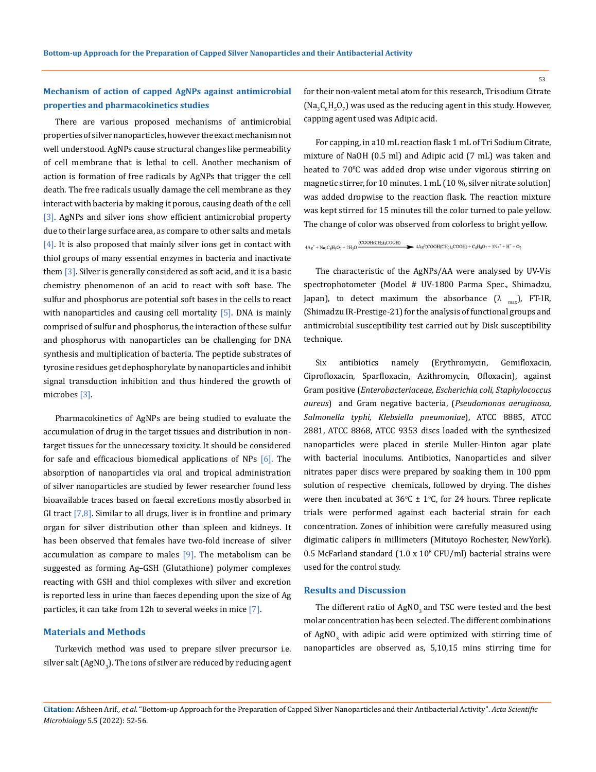# **Mechanism of action of capped AgNPs against antimicrobial properties and pharmacokinetics studies**

There are various proposed mechanisms of antimicrobial properties of silver nanoparticles, however the exact mechanism not well understood. AgNPs cause structural changes like permeability of cell membrane that is lethal to cell. Another mechanism of action is formation of free radicals by AgNPs that trigger the cell death. The free radicals usually damage the cell membrane as they interact with bacteria by making it porous, causing death of the cell [3]. AgNPs and silver ions show efficient antimicrobial property due to their large surface area, as compare to other salts and metals  $[4]$ . It is also proposed that mainly silver ions get in contact with thiol groups of many essential enzymes in bacteria and inactivate them [3]. Silver is generally considered as soft acid, and it is a basic chemistry phenomenon of an acid to react with soft base. The sulfur and phosphorus are potential soft bases in the cells to react with nanoparticles and causing cell mortality  $[5]$ . DNA is mainly comprised of sulfur and phosphorus, the interaction of these sulfur and phosphorus with nanoparticles can be challenging for DNA synthesis and multiplication of bacteria. The peptide substrates of tyrosine residues get dephosphorylate by nanoparticles and inhibit signal transduction inhibition and thus hindered the growth of microbes [3].

Pharmacokinetics of AgNPs are being studied to evaluate the accumulation of drug in the target tissues and distribution in nontarget tissues for the unnecessary toxicity. It should be considered for safe and efficacious biomedical applications of NPs [6]. The absorption of nanoparticles via oral and tropical administration of silver nanoparticles are studied by fewer researcher found less bioavailable traces based on faecal excretions mostly absorbed in GI tract  $[7,8]$ . Similar to all drugs, liver is in frontline and primary organ for silver distribution other than spleen and kidneys. It has been observed that females have two-fold increase of silver accumulation as compare to males  $[9]$ . The metabolism can be suggested as forming Ag–GSH (Glutathione) polymer complexes reacting with GSH and thiol complexes with silver and excretion is reported less in urine than faeces depending upon the size of Ag particles, it can take from 12h to several weeks in mice [7].

#### **Materials and Methods**

Turkevich method was used to prepare silver precursor i.e. silver salt (AgNO $_{\scriptscriptstyle 3}$ ). The ions of silver are reduced by reducing agent for their non-valent metal atom for this research, Trisodium Citrate (Na<sub>3</sub>C<sub>6</sub>H<sub>5</sub>O<sub>7</sub>) was used as the reducing agent in this study. However, capping agent used was Adipic acid.

For capping, in a10 mL reaction flask 1 mL of Tri Sodium Citrate, mixture of NaOH (0.5 ml) and Adipic acid (7 mL) was taken and heated to 700 C was added drop wise under vigorous stirring on magnetic stirrer, for 10 minutes. 1 mL (10 %, silver nitrate solution) was added dropwise to the reaction flask. The reaction mixture was kept stirred for 15 minutes till the color turned to pale yellow. The change of color was observed from colorless to bright yellow.

# $4Ag^+ + Na_3C_6H_3O_7 + 2H_2O \xrightarrow{\text{(COOH(CH_2)_4COOH)}} 4Ag^{\circ}(\text{COOH(CH_2)_4COOH}) + C_6H_8O_7 + 3Na^+ + H^+ + O_2$

The characteristic of the AgNPs/AA were analysed by UV-Vis spectrophotometer (Model # UV-1800 Parma Spec., Shimadzu, Japan), to detect maximum the absorbance  $(\lambda_{\text{max}})$ , FT-IR, (Shimadzu IR-Prestige-21) for the analysis of functional groups and antimicrobial susceptibility test carried out by Disk susceptibility technique.

Six antibiotics namely (Erythromycin, Gemifloxacin, Ciprofloxacin, Sparfloxacin, Azithromycin, Ofloxacin), against Gram positive (*Enterobacteriaceae, Escherichia coli, Staphylococcus aureus*) and Gram negative bacteria, (*Pseudomonas aeruginosa, Salmonella typhi, Klebsiella pneumoniae*), ATCC 8885, ATCC 2881, ATCC 8868, ATCC 9353 discs loaded with the synthesized nanoparticles were placed in sterile Muller-Hinton agar plate with bacterial inoculums. Antibiotics, Nanoparticles and silver nitrates paper discs were prepared by soaking them in 100 ppm solution of respective chemicals, followed by drying. The dishes were then incubated at  $36^{\circ}\text{C} \pm 1^{\circ}\text{C}$ , for 24 hours. Three replicate trials were performed against each bacterial strain for each concentration. Zones of inhibition were carefully measured using digimatic calipers in millimeters (Mitutoyo Rochester, NewYork).  $0.5$  McFarland standard  $(1.0 \times 10^8 \text{ CFU/ml})$  bacterial strains were used for the control study.

#### **Results and Discussion**

The different ratio of  $AgNO<sub>3</sub>$  and TSC were tested and the best molar concentration has been selected. The different combinations of AgNO<sub>3</sub> with adipic acid were optimized with stirring time of nanoparticles are observed as, 5,10,15 mins stirring time for

**Citation:** Afsheen Arif*., et al.* "Bottom-up Approach for the Preparation of Capped Silver Nanoparticles and their Antibacterial Activity". *Acta Scientific Microbiology* 5.5 (2022): 52-56.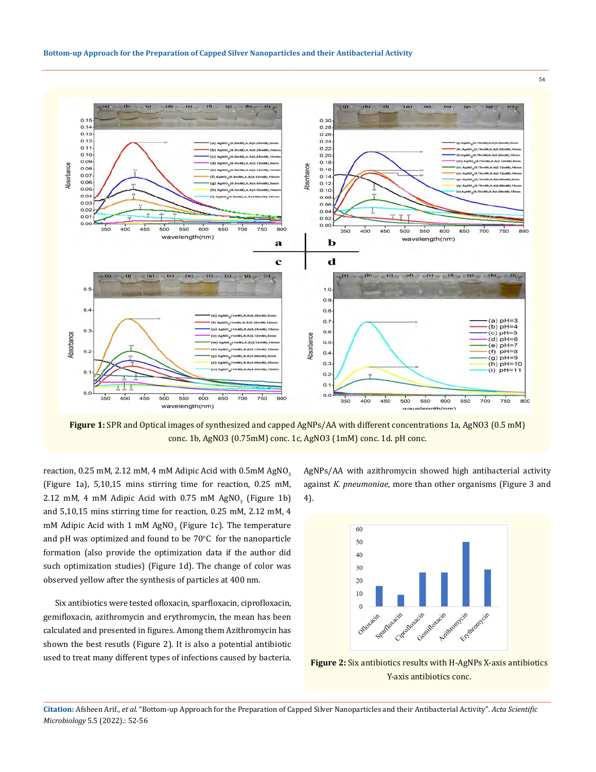

**Figure 1:** SPR and Optical images of synthesized and capped AgNPs/AA with different concentrations 1a, AgNO3 (0.5 mM) conc. 1b, AgNO3 (0.75mM) conc. 1c, AgNO3 (1mM) conc. 1d. pH conc.

reaction, 0.25 mM, 2.12 mM, 4 mM Adipic Acid with 0.5mM AgNO<sub>3</sub> (Figure 1a), 5,10,15 mins stirring time for reaction, 0.25 mM,  $2.12$  mM, 4 mM Adipic Acid with  $0.75$  mM AgN $0<sub>3</sub>$  (Figure 1b) and 5,10,15 mins stirring time for reaction, 0.25 mM, 2.12 mM, 4 mM Adipic Acid with 1 mM AgNO<sub>3</sub> (Figure 1c). The temperature and pH was optimized and found to be  $70^{\circ}$ C for the nanoparticle formation (also provide the optimization data if the author did such optimization studies) (Figure 1d). The change of color was observed yellow after the synthesis of particles at 400 nm.

Six antibiotics were tested ofloxacin, sparfloxacin, ciprofloxacin, gemifloxacin, azithromycin and erythromycin, the mean has been calculated and presented in figures. Among them Azithromycin has shown the best resutls (Figure 2). It is also a potential antibiotic used to treat many different types of infections caused by bacteria. AgNPs/AA with azithromycin showed high antibacterial activity against *K. pneumoniae*, more than other organisms (Figure 3 and 4).



**Figure 2:** Six antibiotics results with H-AgNPs X-axis antibiotics Y-axis antibiotics conc.

**Citation:** Afsheen Arif*., et al.* "Bottom-up Approach for the Preparation of Capped Silver Nanoparticles and their Antibacterial Activity". *Acta Scientific Microbiology* 5.5 (2022).: 52-56

54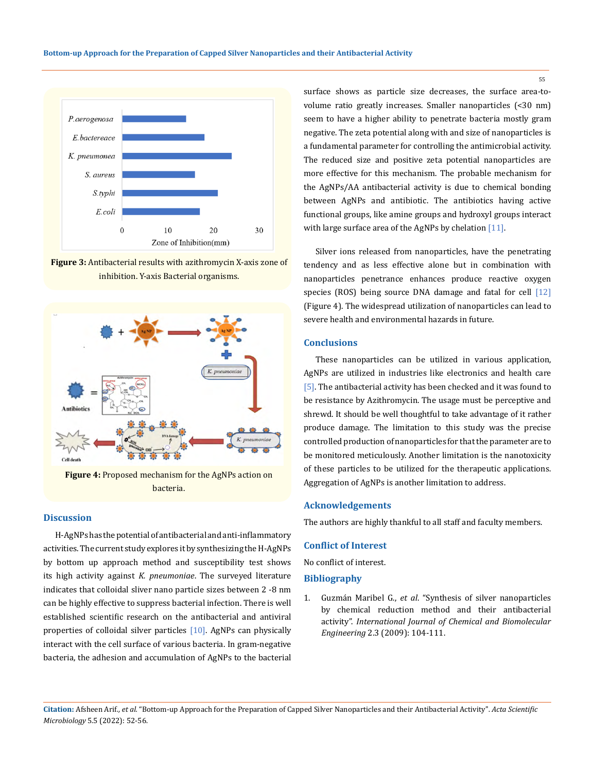

**Figure 3:** Antibacterial results with azithromycin X-axis zone of inhibition. Y-axis Bacterial organisms.



**Figure 4:** Proposed mechanism for the AgNPs action on bacteria.

#### **Discussion**

H-AgNPs has the potential of antibacterial and anti-inflammatory activities. The current study explores it by synthesizing the H-AgNPs by bottom up approach method and susceptibility test shows its high activity against *K. pneumoniae*. The surveyed literature indicates that colloidal sliver nano particle sizes between 2 -8 nm can be highly effective to suppress bacterial infection. There is well established scientific research on the antibacterial and antiviral properties of colloidal silver particles [10]. AgNPs can physically interact with the cell surface of various bacteria. In gram-negative bacteria, the adhesion and accumulation of AgNPs to the bacterial surface shows as particle size decreases, the surface area-tovolume ratio greatly increases. Smaller nanoparticles (<30 nm) seem to have a higher ability to penetrate bacteria mostly gram negative. The zeta potential along with and size of nanoparticles is a fundamental parameter for controlling the antimicrobial activity. The reduced size and positive zeta potential nanoparticles are more effective for this mechanism. The probable mechanism for the AgNPs/AA antibacterial activity is due to chemical bonding between AgNPs and antibiotic. The antibiotics having active functional groups, like amine groups and hydroxyl groups interact with large surface area of the AgNPs by chelation [11].

Silver ions released from nanoparticles, have the penetrating tendency and as less effective alone but in combination with nanoparticles penetrance enhances produce reactive oxygen species (ROS) being source DNA damage and fatal for cell [12] (Figure 4). The widespread utilization of nanoparticles can lead to severe health and environmental hazards in future.

# **Conclusions**

These nanoparticles can be utilized in various application, AgNPs are utilized in industries like electronics and health care [5]. The antibacterial activity has been checked and it was found to be resistance by Azithromycin. The usage must be perceptive and shrewd. It should be well thoughtful to take advantage of it rather produce damage. The limitation to this study was the precise controlled production of nanoparticles for that the parameter are to be monitored meticulously. Another limitation is the nanotoxicity of these particles to be utilized for the therapeutic applications. Aggregation of AgNPs is another limitation to address.

#### **Acknowledgements**

The authors are highly thankful to all staff and faculty members.

## **Conflict of Interest**

No conflict of interest.

## **Bibliography**

1. Guzmán Maribel G., *et al*[. "Synthesis of silver nanoparticles](https://citeseerx.ist.psu.edu/viewdoc/download?doi=10.1.1.307.2416&rep=rep1&type=pdf) [by chemical reduction method and their antibacterial](https://citeseerx.ist.psu.edu/viewdoc/download?doi=10.1.1.307.2416&rep=rep1&type=pdf) activity". *[International Journal of Chemical and Biomolecular](https://citeseerx.ist.psu.edu/viewdoc/download?doi=10.1.1.307.2416&rep=rep1&type=pdf) Engineering* [2.3 \(2009\): 104-111.](https://citeseerx.ist.psu.edu/viewdoc/download?doi=10.1.1.307.2416&rep=rep1&type=pdf)

55